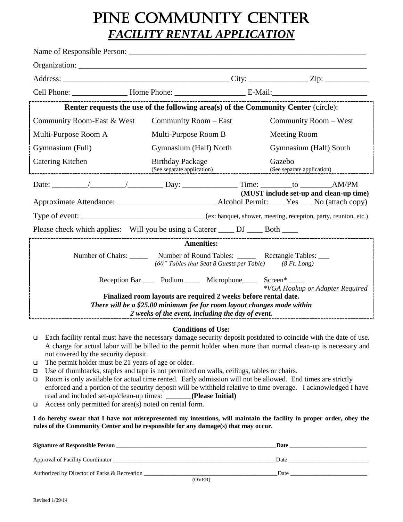# PINE COMMUNITY CENTER *FACILITY RENTAL APPLICATION*

| Organization:                                                                                                                                 |                                                                                                             |  |                        |                                 |  |
|-----------------------------------------------------------------------------------------------------------------------------------------------|-------------------------------------------------------------------------------------------------------------|--|------------------------|---------------------------------|--|
|                                                                                                                                               |                                                                                                             |  |                        |                                 |  |
|                                                                                                                                               |                                                                                                             |  |                        |                                 |  |
|                                                                                                                                               | Renter requests the use of the following area(s) of the Community Center (circle):                          |  |                        |                                 |  |
| Community Room-East & West                                                                                                                    | Community Room – East                                                                                       |  | Community Room – West  |                                 |  |
| Multi-Purpose Room A                                                                                                                          | Multi-Purpose Room B                                                                                        |  | Meeting Room           |                                 |  |
| Gymnasium (Full)                                                                                                                              | Gymnasium (Half) North                                                                                      |  | Gymnasium (Half) South |                                 |  |
| Catering Kitchen                                                                                                                              | <b>Birthday Package</b><br>(See separate application) (See separate application) (See separate application) |  | Gazebo                 |                                 |  |
|                                                                                                                                               |                                                                                                             |  |                        |                                 |  |
| (MUST include set-up and clean-up time)                                                                                                       |                                                                                                             |  |                        |                                 |  |
|                                                                                                                                               |                                                                                                             |  |                        |                                 |  |
| Please check which applies: Will you be using a Caterer _____ DJ _____ Both ____                                                              |                                                                                                             |  |                        |                                 |  |
| <b>Amenities:</b>                                                                                                                             |                                                                                                             |  |                        |                                 |  |
| Number of Chairs: ________ Number of Round Tables: _________ Rectangle Tables: ____<br>(60" Tables that Seat 8 Guests per Table) (8 Ft. Long) |                                                                                                             |  |                        |                                 |  |
|                                                                                                                                               | Reception Bar ______ Podium ________ Microphone________ Screen* _____                                       |  |                        | *VGA Hookup or Adapter Required |  |
| Finalized room layouts are required 2 weeks before rental date.<br>There will be a \$25.00 minimum fee for room layout changes made within    |                                                                                                             |  |                        |                                 |  |
| 2 weeks of the event, including the day of event.                                                                                             |                                                                                                             |  |                        |                                 |  |

#### **Conditions of Use:**

- ❑ Each facility rental must have the necessary damage security deposit postdated to coincide with the date of use. A charge for actual labor will be billed to the permit holder when more than normal clean-up is necessary and not covered by the security deposit.
- ❑ The permit holder must be 21 years of age or older.
- ❑ Use of thumbtacks, staples and tape is not permitted on walls, ceilings, tables or chairs.
- ❑ Room is only available for actual time rented. Early admission will not be allowed. End times are strictly enforced and a portion of the security deposit will be withheld relative to time overage. I acknowledged I have read and included set-up/clean-up times: **(Please Initial)**
- ❑ Access only permitted for area(s) noted on rental form.

**I do hereby swear that I have not misrepresented my intentions, will maintain the facility in proper order, obey the rules of the Community Center and be responsible for any damage(s) that may occur.**

| <b>Signature of Responsible Person</b>       | Date   |
|----------------------------------------------|--------|
| Approval of Facility Coordinator             | Date   |
| Authorized by Director of Parks & Recreation | Date   |
|                                              | (OVER) |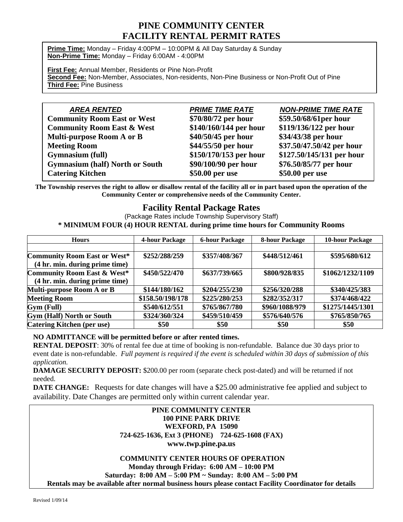## **PINE COMMUNITY CENTER FACILITY RENTAL PERMIT RATES**

**Prime Time:** Monday – Friday 4:00PM – 10:00PM & All Day Saturday & Sunday **Non-Prime Time:** Monday – Friday 6:00AM - 4:00PM

**First Fee:** Annual Member, Residents or Pine Non-Profit **Second Fee:** Non-Member, Associates, Non-residents, Non-Pine Business or Non-Profit Out of Pine **Third Fee:** Pine Business

| <b>AREA RENTED</b>                     | <b>PRIME TIME RATE</b> | <b>NON-PRIME TIME RATE</b> |
|----------------------------------------|------------------------|----------------------------|
| <b>Community Room East or West</b>     | \$70/80/72 per hour    | \$59.50/68/61per hour      |
| <b>Community Room East &amp; West</b>  | \$140/160/144 per hour | \$119/136/122 per hour     |
| Multi-purpose Room A or B              | \$40/50/45 per hour    | \$34/43/38 per hour        |
| <b>Meeting Room</b>                    | \$44/55/50 per hour    | \$37.50/47.50/42 per hour  |
| <b>Gymnasium (full)</b>                | \$150/170/153 per hour | \$127.50/145/131 per hour  |
| <b>Gymnasium (half) North or South</b> | \$90/100/90 per hour   | \$76.50/85/77 per hour     |
| <b>Catering Kitchen</b>                | \$50.00 per use        | \$50.00 per use            |

**The Township reserves the right to allow or disallow rental of the facility all or in part based upon the operation of the Community Center or comprehensive needs of the Community Center.**

### **Facility Rental Package Rates**

(Package Rates include Township Supervisory Staff) **\* MINIMUM FOUR (4) HOUR RENTAL during prime time hours for Community Rooms**

| <b>Hours</b>                           | <b>4-hour Package</b> | <b>6-hour Package</b> | <b>8-hour Package</b> | <b>10-hour Package</b> |
|----------------------------------------|-----------------------|-----------------------|-----------------------|------------------------|
|                                        |                       |                       |                       |                        |
| <b>Community Room East or West*</b>    | \$252/288/259         | \$357/408/367         | \$448/512/461         | \$595/680/612          |
| (4 hr. min. during prime time)         |                       |                       |                       |                        |
| <b>Community Room East &amp; West*</b> | \$450/522/470         | \$637/739/665         | \$800/928/835         | \$1062/1232/1109       |
| (4 hr. min. during prime time)         |                       |                       |                       |                        |
| Multi-purpose Room A or B              | \$144/180/162         | \$204/255/230         | \$256/320/288         | \$340/425/383          |
| <b>Meeting Room</b>                    | \$158.50/198/178      | \$225/280/253         | \$282/352/317         | \$374/468/422          |
| Gym (Full)                             | \$540/612/551         | \$765/867/780         | \$960/1088/979        | \$1275/1445/1301       |
| <b>Gym (Half) North or South</b>       | \$324/360/324         | \$459/510/459         | \$576/640/576         | \$765/850/765          |
| Catering Kitchen (per use)             | \$50                  | \$50                  | \$50                  | \$50                   |

#### **NO ADMITTANCE will be permitted before or after rented times.**

**RENTAL DEPOSIT**: 30% of rental fee due at time of booking is non-refundable. Balance due 30 days prior to event date is non-refundable. *Full payment is required if the event is scheduled within 30 days of submission of this application.*

**DAMAGE SECURITY DEPOSIT:** \$200.00 per room (separate check post-dated) and will be returned if not needed.

**DATE CHANGE:** Requests for date changes will have a \$25.00 administrative fee applied and subject to availability. Date Changes are permitted only within current calendar year.

#### **PINE COMMUNITY CENTER 100 PINE PARK DRIVE WEXFORD, PA 15090 724-625-1636, Ext 3 (PHONE) 724-625-1608 (FAX) www.twp.pine.pa.us**

#### **COMMUNITY CENTER HOURS OF OPERATION Monday through Friday: 6:00 AM – 10:00 PM Saturday: 8:00 AM – 5:00 PM ~ Sunday: 8:00 AM – 5:00 PM Rentals may be available after normal business hours please contact Facility Coordinator for details**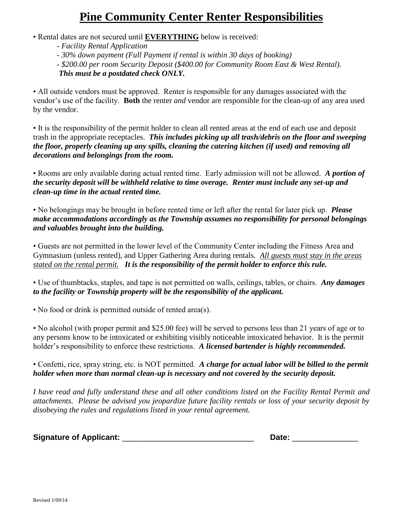## **Pine Community Center Renter Responsibilities**

- Rental dates are not secured until **EVERYTHING** below is received:
	- *Facility Rental Application*
	- *- 30% down payment (Full Payment if rental is within 30 days of booking)*
	- *- \$200.00 per room Security Deposit (\$400.00 for Community Room East & West Rental).*

*This must be a postdated check ONLY.*

• All outside vendors must be approved. Renter is responsible for any damages associated with the vendor's use of the facility. **Both** the renter *and* vendor are responsible for the clean-up of any area used by the vendor.

• It is the responsibility of the permit holder to clean all rented areas at the end of each use and deposit trash in the appropriate receptacles. *This includes picking up all trash/debris on the floor and sweeping the floor, properly cleaning up any spills, cleaning the catering kitchen (if used) and removing all decorations and belongings from the room.*

• Rooms are only available during actual rented time. Early admission will not be allowed. *A portion of the security deposit will be withheld relative to time overage. Renter must include any set-up and clean-up time in the actual rented time.* 

• No belongings may be brought in before rented time or left after the rental for later pick up. *Please make accommodations accordingly as the Township assumes no responsibility for personal belongings and valuables brought into the building.* 

• Guests are not permitted in the lower level of the Community Center including the Fitness Area and Gymnasium (unless rented), and Upper Gathering Area during rentals. *All guests must stay in the areas stated on the rental permit. It is the responsibility of the permit holder to enforce this rule.* 

• Use of thumbtacks, staples, and tape is not permitted on walls, ceilings, tables, or chairs. *Any damages to the facility or Township property will be the responsibility of the applicant.* 

• No food or drink is permitted outside of rented area(s).

• No alcohol (with proper permit and \$25.00 fee) will be served to persons less than 21 years of age or to any persons know to be intoxicated or exhibiting visibly noticeable intoxicated behavior. It is the permit holder's responsibility to enforce these restrictions. *A licensed bartender is highly recommended.* 

• Confetti, rice, spray string, etc. is NOT permitted. *A charge for actual labor will be billed to the permit holder when more than normal clean-up is necessary and not covered by the security deposit.*

*I have read and fully understand these and all other conditions listed on the Facility Rental Permit and attachments. Please be advised you jeopardize future facility rentals or loss of your security deposit by disobeying the rules and regulations listed in your rental agreement.* 

| <b>Signature of Applicant:</b> |  |  |  |
|--------------------------------|--|--|--|
|--------------------------------|--|--|--|

 $\blacksquare$  Date: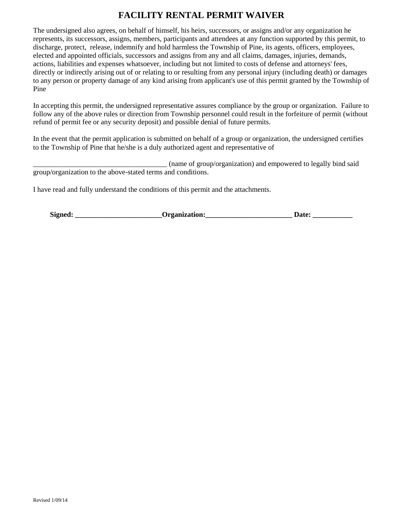## **FACILITY RENTAL PERMIT WAIVER**

The undersigned also agrees, on behalf of himself, his heirs, successors, or assigns and/or any organization he represents, its successors, assigns, members, participants and attendees at any function supported by this permit, to discharge, protect, release, indemnify and hold harmless the Township of Pine, its agents, officers, employees, elected and appointed officials, successors and assigns from any and all claims, damages, injuries, demands, actions, liabilities and expenses whatsoever, including but not limited to costs of defense and attorneys' fees, directly or indirectly arising out of or relating to or resulting from any personal injury (including death) or damages to any person or property damage of any kind arising from applicant's use of this permit granted by the Township of Pine

In accepting this permit, the undersigned representative assures compliance by the group or organization. Failure to follow any of the above rules or direction from Township personnel could result in the forfeiture of permit (without refund of permit fee or any security deposit) and possible denial of future permits.

In the event that the permit application is submitted on behalf of a group or organization, the undersigned certifies to the Township of Pine that he/she is a duly authorized agent and representative of

\_\_\_\_\_\_\_\_\_\_\_\_\_\_\_\_\_\_\_\_\_\_\_\_\_\_\_\_\_\_\_\_\_\_\_\_\_ (name of group/organization) and empowered to legally bind said group/organization to the above-stated terms and conditions.

I have read and fully understand the conditions of this permit and the attachments.

| Signed:<br><b>Organization:</b><br>Jate: |
|------------------------------------------|
|------------------------------------------|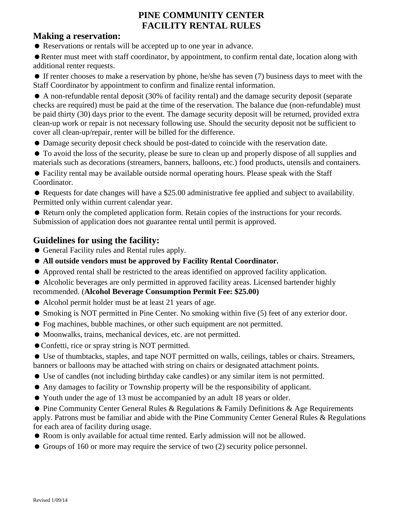## **PINE COMMUNITY CENTER FACILITY RENTAL RULES**

## **Making a reservation:**

Reservations or rentals will be accepted up to one year in advance.

Renter must meet with staff coordinator, by appointment, to confirm rental date, location along with additional renter requests.

 If renter chooses to make a reservation by phone, he/she has seven (7) business days to meet with the Staff Coordinator by appointment to confirm and finalize rental information.

 A non-refundable rental deposit (30% of facility rental) and the damage security deposit (separate checks are required) must be paid at the time of the reservation. The balance due (non-refundable) must be paid thirty (30) days prior to the event. The damage security deposit will be returned, provided extra clean-up work or repair is not necessary following use. Should the security deposit not be sufficient to cover all clean-up/repair, renter will be billed for the difference.

Damage security deposit check should be post-dated to coincide with the reservation date.

 To avoid the loss of the security, please be sure to clean up and properly dispose of all supplies and materials such as decorations (streamers, banners, balloons, etc.) food products, utensils and containers.

 Facility rental may be available outside normal operating hours. Please speak with the Staff Coordinator.

 Requests for date changes will have a \$25.00 administrative fee applied and subject to availability. Permitted only within current calendar year.

 Return only the completed application form. Retain copies of the instructions for your records. Submission of application does not guarantee rental until permit is approved.

## **Guidelines for using the facility:**

- General Facility rules and Rental rules apply.
- **All outside vendors must be approved by Facility Rental Coordinator.**
- Approved rental shall be restricted to the areas identified on approved facility application.
- Alcoholic beverages are only permitted in approved facility areas. Licensed bartender highly recommended. (**Alcohol Beverage Consumption Permit Fee: \$25.00)**
- Alcohol permit holder must be at least 21 years of age.
- Smoking is NOT permitted in Pine Center. No smoking within five (5) feet of any exterior door.
- Fog machines, bubble machines, or other such equipment are not permitted.
- Moonwalks, trains, mechanical devices, etc. are not permitted.
- Confetti, rice or spray string is NOT permitted.
- Use of thumbtacks, staples, and tape NOT permitted on walls, ceilings, tables or chairs. Streamers, banners or balloons may be attached with string on chairs or designated attachment points.
- Use of candles (not including birthday cake candles) or any similar item is not permitted.
- Any damages to facility or Township property will be the responsibility of applicant.
- Youth under the age of 13 must be accompanied by an adult 18 years or older.

● Pine Community Center General Rules & Regulations & Family Definitions & Age Requirements apply. Patrons must be familiar and abide with the Pine Community Center General Rules & Regulations for each area of facility during usage.

- Room is only available for actual time rented. Early admission will not be allowed.
- Groups of 160 or more may require the service of two  $(2)$  security police personnel.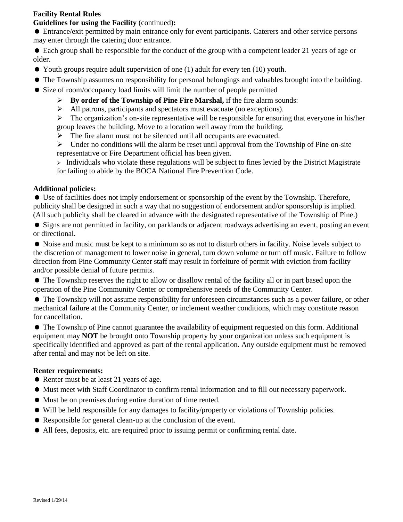#### **Facility Rental Rules**

#### **Guidelines for using the Facility** (continued)**:**

 Entrance/exit permitted by main entrance only for event participants. Caterers and other service persons may enter through the catering door entrance.

 Each group shall be responsible for the conduct of the group with a competent leader 21 years of age or older.

- Youth groups require adult supervision of one (1) adult for every ten (10) youth.
- The Township assumes no responsibility for personal belongings and valuables brought into the building.
- Size of room/occupancy load limits will limit the number of people permitted
	- ➢ **By order of the Township of Pine Fire Marshal,** if the fire alarm sounds:
	- ➢ All patrons, participants and spectators must evacuate (no exceptions).

➢ The organization's on-site representative will be responsible for ensuring that everyone in his/her group leaves the building. Move to a location well away from the building.

➢ The fire alarm must not be silenced until all occupants are evacuated.

 $\triangleright$  Under no conditions will the alarm be reset until approval from the Township of Pine on-site representative or Fire Department official has been given.

➢ Individuals who violate these regulations will be subject to fines levied by the District Magistrate for failing to abide by the BOCA National Fire Prevention Code.

#### **Additional policies:**

 Use of facilities does not imply endorsement or sponsorship of the event by the Township. Therefore, publicity shall be designed in such a way that no suggestion of endorsement and/or sponsorship is implied. (All such publicity shall be cleared in advance with the designated representative of the Township of Pine.)

 Signs are not permitted in facility, on parklands or adjacent roadways advertising an event, posting an event or directional.

 Noise and music must be kept to a minimum so as not to disturb others in facility. Noise levels subject to the discretion of management to lower noise in general, turn down volume or turn off music. Failure to follow direction from Pine Community Center staff may result in forfeiture of permit with eviction from facility and/or possible denial of future permits.

 The Township reserves the right to allow or disallow rental of the facility all or in part based upon the operation of the Pine Community Center or comprehensive needs of the Community Center.

 The Township will not assume responsibility for unforeseen circumstances such as a power failure, or other mechanical failure at the Community Center, or inclement weather conditions, which may constitute reason for cancellation.

• The Township of Pine cannot guarantee the availability of equipment requested on this form. Additional equipment may **NOT** be brought onto Township property by your organization unless such equipment is specifically identified and approved as part of the rental application. Any outside equipment must be removed after rental and may not be left on site.

#### **Renter requirements:**

- Renter must be at least 21 years of age.
- Must meet with Staff Coordinator to confirm rental information and to fill out necessary paperwork.
- Must be on premises during entire duration of time rented.
- Will be held responsible for any damages to facility/property or violations of Township policies.
- Responsible for general clean-up at the conclusion of the event.
- All fees, deposits, etc. are required prior to issuing permit or confirming rental date.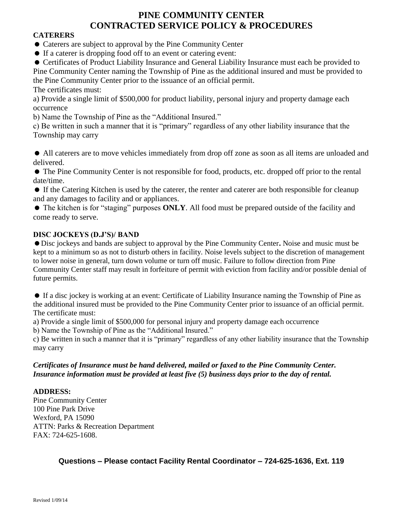## **PINE COMMUNITY CENTER CONTRACTED SERVICE POLICY & PROCEDURES**

#### **CATERERS**

Caterers are subject to approval by the Pine Community Center

If a caterer is dropping food off to an event or catering event:

 Certificates of Product Liability Insurance and General Liability Insurance must each be provided to Pine Community Center naming the Township of Pine as the additional insured and must be provided to the Pine Community Center prior to the issuance of an official permit.

The certificates must:

a) Provide a single limit of \$500,000 for product liability, personal injury and property damage each occurrence

b) Name the Township of Pine as the "Additional Insured."

c) Be written in such a manner that it is "primary" regardless of any other liability insurance that the Township may carry

 All caterers are to move vehicles immediately from drop off zone as soon as all items are unloaded and delivered.

 The Pine Community Center is not responsible for food, products, etc. dropped off prior to the rental date/time.

- If the Catering Kitchen is used by the caterer, the renter and caterer are both responsible for cleanup and any damages to facility and or appliances.
- The kitchen is for "staging" purposes **ONLY**. All food must be prepared outside of the facility and come ready to serve.

#### **DISC JOCKEYS (D.J'S)/ BAND**

Disc jockeys and bands are subject to approval by the Pine Community Center**.** Noise and music must be kept to a minimum so as not to disturb others in facility. Noise levels subject to the discretion of management to lower noise in general, turn down volume or turn off music. Failure to follow direction from Pine Community Center staff may result in forfeiture of permit with eviction from facility and/or possible denial of future permits.

 If a disc jockey is working at an event: Certificate of Liability Insurance naming the Township of Pine as the additional insured must be provided to the Pine Community Center prior to issuance of an official permit. The certificate must:

a) Provide a single limit of \$500,000 for personal injury and property damage each occurrence

b) Name the Township of Pine as the "Additional Insured."

c) Be written in such a manner that it is "primary" regardless of any other liability insurance that the Township may carry

#### *Certificates of Insurance must be hand delivered, mailed or faxed to the Pine Community Center. Insurance information must be provided at least five (5) business days prior to the day of rental.*

#### **ADDRESS:**

Pine Community Center 100 Pine Park Drive Wexford, PA 15090 ATTN: Parks & Recreation Department FAX: 724-625-1608.

**Questions – Please contact Facility Rental Coordinator – 724-625-1636, Ext. 119**